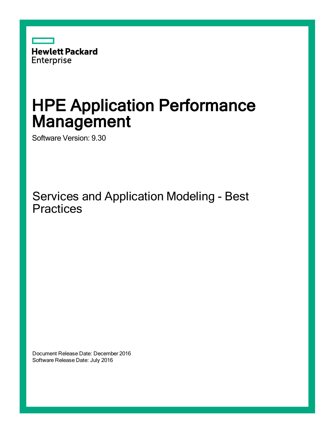

# HPE Application Performance Management

Software Version: 9.30

Services and Application Modeling - Best **Practices** 

Document Release Date: December 2016 Software Release Date: July 2016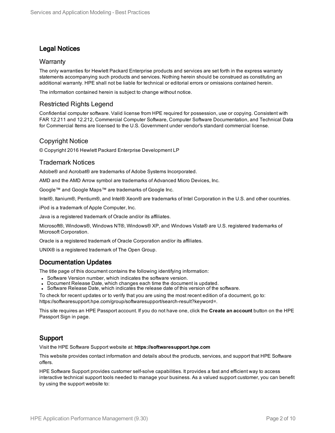### Legal Notices

#### **Warranty**

The only warranties for Hewlett Packard Enterprise products and services are set forth in the express warranty statements accompanying such products and services. Nothing herein should be construed as constituting an additional warranty. HPE shall not be liable for technical or editorial errors or omissions contained herein.

The information contained herein is subject to change without notice.

### Restricted Rights Legend

Confidential computer software. Valid license from HPE required for possession, use or copying. Consistent with FAR 12.211 and 12.212, Commercial Computer Software, Computer Software Documentation, and Technical Data for Commercial Items are licensed to the U.S. Government under vendor's standard commercial license.

### Copyright Notice

© Copyright 2016 Hewlett Packard Enterprise Development LP

#### Trademark Notices

Adobe® and Acrobat® are trademarks of Adobe Systems Incorporated.

AMD and the AMD Arrow symbol are trademarks of Advanced Micro Devices, Inc.

Google™ and Google Maps™ are trademarks of Google Inc.

Intel®, Itanium®, Pentium®, and Intel® Xeon® are trademarks of Intel Corporation in the U.S. and other countries.

iPod is a trademark of Apple Computer, Inc.

Java is a registered trademark of Oracle and/or its affiliates.

Microsoft®, Windows®, Windows NT®, Windows® XP, and Windows Vista® are U.S. registered trademarks of Microsoft Corporation.

Oracle is a registered trademark of Oracle Corporation and/or its affiliates.

UNIX® is a registered trademark of The Open Group.

### Documentation Updates

The title page of this document contains the following identifying information:

- Software Version number, which indicates the software version.
- Document Release Date, which changes each time the document is updated.
- <sup>l</sup> Software Release Date, which indicates the release date of this version of the software.

To check for recent updates or to verify that you are using the most recent edition of a document, go to: https://softwaresupport.hpe.com/group/softwaresupport/search-result?keyword=.

This site requires an HPE Passport account. If you do not have one, click the **Create an account** button on the HPE Passport Sign in page.

### Support

Visit the HPE Software Support website at: **https://softwaresupport.hpe.com**

This website provides contact information and details about the products, services, and support that HPE Software offers.

HPE Software Support provides customer self-solve capabilities. It provides a fast and efficient way to access interactive technical support tools needed to manage your business. As a valued support customer, you can benefit by using the support website to: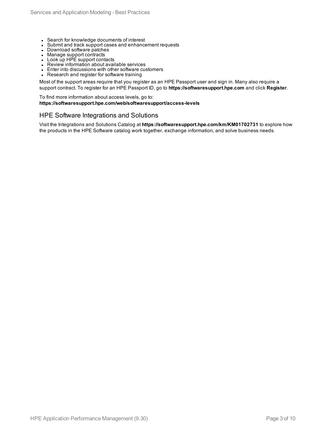- Search for knowledge documents of interest
- Submit and track support cases and enhancement requests
- Download software patches
- Manage support contracts
- Look up HPE support contacts
- Review information about available services
- Enter into discussions with other software customers
- Research and register for software training

Most of the support areas require that you register as an HPE Passport user and sign in. Many also require a support contract. To register for an HPE Passport ID, go to **https://softwaresupport.hpe.com** and click **Register**.

To find more information about access levels, go to: **https://softwaresupport.hpe.com/web/softwaresupport/access-levels**

#### HPE Software Integrations and Solutions

Visit the Integrations and Solutions Catalog at **https://softwaresupport.hpe.com/km/KM01702731** to explore how the products in the HPE Software catalog work together, exchange information, and solve business needs.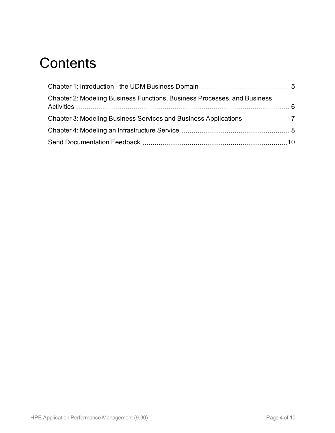### **Contents**

| Chapter 2: Modeling Business Functions, Business Processes, and Business |  |
|--------------------------------------------------------------------------|--|
|                                                                          |  |
|                                                                          |  |
|                                                                          |  |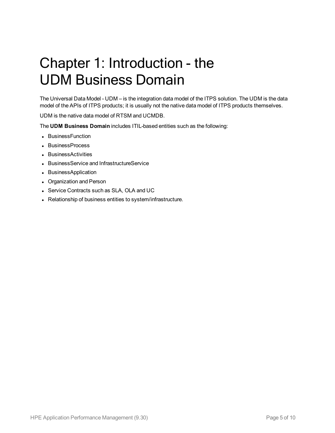# <span id="page-4-0"></span>Chapter 1: Introduction - the UDM Business Domain

The Universal Data Model - UDM – is the integration data model of the ITPS solution. The UDM is the data model of the APIs of ITPS products; it is usually not the native data model of ITPS products themselves.

UDM is the native data model of RTSM and UCMDB.

The **UDM Business Domain** includes ITIL-based entities such as the following:

- BusinessFunction
- BusinessProcess
- BusinessActivities
- BusinessService and InfrastructureService
- BusinessApplication
- Organization and Person
- Service Contracts such as SLA, OLA and UC
- Relationship of business entities to system/infrastructure.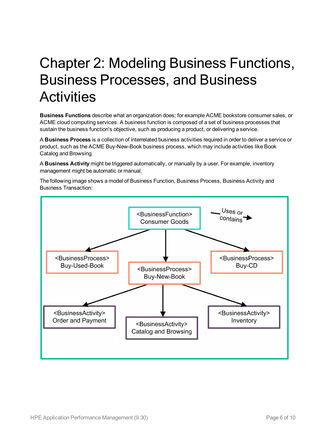# <span id="page-5-0"></span>Chapter 2: Modeling Business Functions, Business Processes, and Business **Activities**

**Business Functions** describe what an organization does; for example ACME bookstore consumer sales, or ACME cloud computing services. A business function is composed of a set of business processes that sustain the business function's objective, such as producing a product, or delivering a service.

A **Business Process** is a collection of interrelated business activities required in order to deliver a service or product, such as the ACME Buy-New-Book business process, which may include activities like Book Catalog and Browsing.

A **Business Activity** might be triggered automatically, or manually by a user, For example, inventory management might be automatic or manual.

The following image shows a model of Business Function, Business Process, Business Activity and Business Transaction:

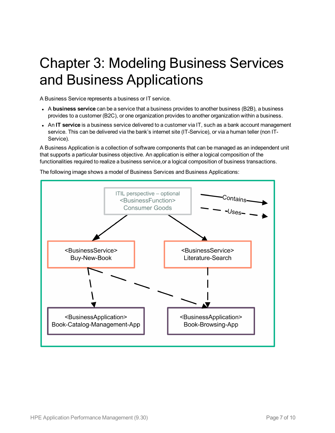# <span id="page-6-0"></span>Chapter 3: Modeling Business Services and Business Applications

A Business Service represents a business or IT service.

- <sup>l</sup> A **business service** can be a service that a business provides to another business (B2B), a business provides to a customer (B2C), or one organization provides to another organization within a business.
- <sup>l</sup> An **IT service** is a business service delivered to a customer via IT, such as a bank account management service. This can be delivered via the bank's internet site (IT-Service), or via a human teller (non IT-Service).

A Business Application is a collection of software components that can be managed as an independent unit that supports a particular business objective. An application is either a logical composition of the functionalities required to realize a business service,or a logical composition of business transactions.

The following image shows a model of Business Services and Business Applications:

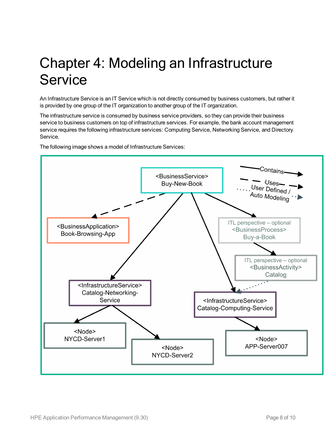# <span id="page-7-0"></span>Chapter 4: Modeling an Infrastructure **Service**

An Infrastructure Service is an IT Service which is not directly consumed by business customers, but rather it is provided by one group of the IT organization to another group of the IT organization.

The infrastructure service is consumed by business service providers, so they can provide their business service to business customers on top of infrastructure services. For example, the bank account management service requires the following infrastructure services: Computing Service, Networking Service, and Directory Service.

The following image shows a model of Infrastructure Services:

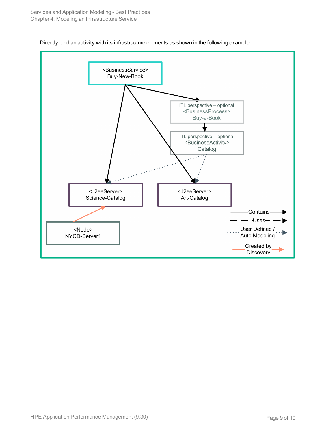

Directly bind an activity with its infrastructure elements as shown in the following example: